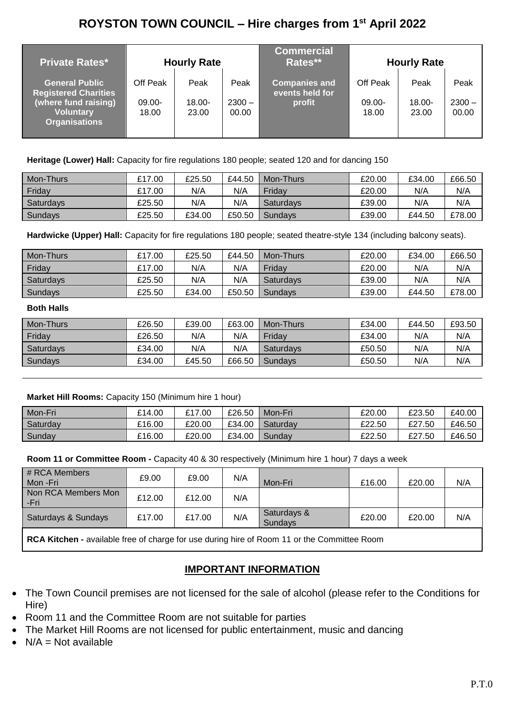# **ROYSTON TOWN COUNCIL – Hire charges from 1st April 2022**

| <b>Private Rates*</b>                                                                                                    |                                | <b>Hourly Rate</b>         |                           | <b>Commercial</b><br>Rates**                      |                             | <b>Hourly Rate</b>         |                           |
|--------------------------------------------------------------------------------------------------------------------------|--------------------------------|----------------------------|---------------------------|---------------------------------------------------|-----------------------------|----------------------------|---------------------------|
| <b>General Public</b><br><b>Registered Charities</b><br>(where fund raising)<br><b>Voluntary</b><br><b>Organisations</b> | Off Peak<br>$09.00 -$<br>18.00 | Peak<br>$18.00 -$<br>23.00 | Peak<br>$2300 -$<br>00.00 | <b>Companies and</b><br>events held for<br>profit | Off Peak<br>09.00-<br>18.00 | Peak<br>$18.00 -$<br>23.00 | Peak<br>$2300 -$<br>00.00 |

**Heritage (Lower) Hall:** Capacity for fire regulations 180 people; seated 120 and for dancing 150

| Mon-Thurs | £17.00 | £25.50 | £44.50 | Mon-Thurs | £20.00 | £34.00 | £66.50 |
|-----------|--------|--------|--------|-----------|--------|--------|--------|
| Friday    | £17.00 | N/A    | N/A    | Fridav    | £20.00 | N/A    | N/A    |
| Saturdays | £25.50 | N/A    | N/A    | Saturdays | £39.00 | N/A    | N/A    |
| Sundays   | £25.50 | £34.00 | £50.50 | Sundavs   | £39.00 | £44.50 | £78.00 |

**Hardwicke (Upper) Hall:** Capacity for fire regulations 180 people; seated theatre-style 134 (including balcony seats).

| Mon-Thurs | £17.00 | £25.50 | £44.50 | Mon-Thurs      | £20.00 | £34.00 | £66.50 |
|-----------|--------|--------|--------|----------------|--------|--------|--------|
| Friday    | £17.00 | N/A    | N/A    | Fridav         | £20.00 | N/A    | N/A    |
| Saturdays | £25.50 | N/A    | N/A    | Saturdays      | £39.00 | N/A    | N/A    |
| Sundays   | £25.50 | £34.00 | £50.50 | <b>Sundavs</b> | £39.00 | £44.50 | £78.00 |

#### **Both Halls**

| Mon-Thurs | £26.50 | £39.00 | £63.00 | Mon-Thurs | £34.00 | £44.50 | £93.50 |
|-----------|--------|--------|--------|-----------|--------|--------|--------|
| Friday    | £26.50 | N/A    | N/A    | Fridav    | £34.00 | N/A    | N/A    |
| Saturdays | £34.00 | N/A    | N/A    | Saturdays | £50.50 | N/A    | N/A    |
| Sundavs   | £34.00 | £45.50 | £66.50 | Sundavs   | £50.50 | N/A    | N/A    |

#### **Market Hill Rooms:** Capacity 150 (Minimum hire 1 hour)

| Mon-Fri  | £14.00 | £17.00 | £26.50 | Mon-Fri  | £20.00 | £23.50 | £40.00 |
|----------|--------|--------|--------|----------|--------|--------|--------|
| Saturday | £16.00 | £20.00 | £34.00 | Saturdav | £22.50 | £27.50 | £46.50 |
| Sunday   | £16.00 | £20.00 | £34.00 | Sundav   | £22.50 | £27.50 | £46.50 |

**Room 11 or Committee Room -** Capacity 40 & 30 respectively (Minimum hire 1 hour) 7 days a week

| # RCA Members<br>Mon -Fri                                                                   | £9.00  | £9.00  | N/A | Mon-Fri                       | £16.00 | £20.00 | N/A |  |
|---------------------------------------------------------------------------------------------|--------|--------|-----|-------------------------------|--------|--------|-----|--|
| Non RCA Members Mon<br>-Fri                                                                 | £12.00 | £12.00 | N/A |                               |        |        |     |  |
| Saturdays & Sundays                                                                         | £17.00 | £17.00 | N/A | Saturdays &<br><b>Sundays</b> | £20.00 | £20.00 | N/A |  |
| RCA Kitchen - available free of charge for use during hire of Room 11 or the Committee Room |        |        |     |                               |        |        |     |  |

## **IMPORTANT INFORMATION**

- The Town Council premises are not licensed for the sale of alcohol (please refer to the Conditions for Hire)
- Room 11 and the Committee Room are not suitable for parties
- The Market Hill Rooms are not licensed for public entertainment, music and dancing
- $N/A = Not available$